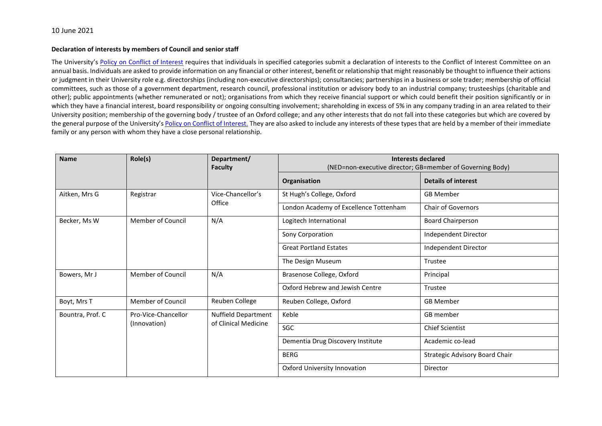## **Declaration of interests by members of Council and senior staff**

The University's [Policy on Conflict of Interest](http://researchsupport.admin.ox.ac.uk/governance/integrity/conflict/policy) requires that individuals in specified categories submit a declaration of interests to the Conflict of Interest Committee on an annual basis. Individuals are asked to provide information on any financial or other interest, benefit or relationship that might reasonably be thought to influence their actions or judgment in their University role e.g. directorships (including non-executive directorships); consultancies; partnerships in a business or sole trader; membership of official committees, such as those of a government department, research council, professional institution or advisory body to an industrial company; trusteeships (charitable and other); public appointments (whether remunerated or not); organisations from which they receive financial support or which could benefit their position significantly or in which they have a financial interest, board responsibility or ongoing consulting involvement; shareholding in excess of 5% in any company trading in an area related to their University position; membership of the governing body / trustee of an Oxford college; and any other interests that do not fall into these categories but which are covered by the general purpose of the University's [Policy on Conflict of Interest.](http://researchsupport.admin.ox.ac.uk/governance/integrity/conflict/policy) They are also asked to include any interests of these types that are held by a member of their immediate family or any person with whom they have a close personal relationship.

| <b>Name</b>      | Role(s)                             | Department/<br><b>Faculty</b>                      | <b>Interests declared</b><br>(NED=non-executive director; GB=member of Governing Body) |                                |
|------------------|-------------------------------------|----------------------------------------------------|----------------------------------------------------------------------------------------|--------------------------------|
|                  |                                     |                                                    | Organisation                                                                           | <b>Details of interest</b>     |
| Aitken, Mrs G    | Registrar                           | Vice-Chancellor's                                  | St Hugh's College, Oxford                                                              | <b>GB Member</b>               |
|                  |                                     | Office                                             | London Academy of Excellence Tottenham                                                 | Chair of Governors             |
| Becker, Ms W     | <b>Member of Council</b>            | N/A                                                | Logitech International                                                                 | Board Chairperson              |
|                  |                                     |                                                    | Sony Corporation                                                                       | Independent Director           |
|                  |                                     |                                                    | <b>Great Portland Estates</b>                                                          | Independent Director           |
|                  |                                     |                                                    | The Design Museum                                                                      | Trustee                        |
| Bowers, Mr J     | <b>Member of Council</b>            | N/A                                                | Brasenose College, Oxford                                                              | Principal                      |
|                  |                                     |                                                    | Oxford Hebrew and Jewish Centre                                                        | Trustee                        |
| Boyt, Mrs T      | Member of Council                   | Reuben College                                     | Reuben College, Oxford                                                                 | <b>GB Member</b>               |
| Bountra, Prof. C | Pro-Vice-Chancellor<br>(Innovation) | <b>Nuffield Department</b><br>of Clinical Medicine | Keble                                                                                  | GB member                      |
|                  |                                     |                                                    | SGC                                                                                    | <b>Chief Scientist</b>         |
|                  |                                     |                                                    | Dementia Drug Discovery Institute                                                      | Academic co-lead               |
|                  |                                     |                                                    | <b>BERG</b>                                                                            | Strategic Advisory Board Chair |
|                  |                                     |                                                    | Oxford University Innovation                                                           | Director                       |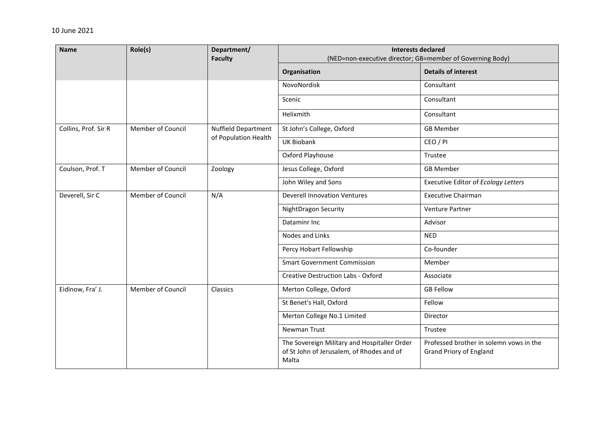| <b>Name</b>          | Role(s)           | Department/<br><b>Faculty</b>               | <b>Interests declared</b><br>(NED=non-executive director; GB=member of Governing Body)             |                                                                           |
|----------------------|-------------------|---------------------------------------------|----------------------------------------------------------------------------------------------------|---------------------------------------------------------------------------|
|                      |                   |                                             | Organisation                                                                                       | <b>Details of interest</b>                                                |
|                      |                   |                                             | NovoNordisk                                                                                        | Consultant                                                                |
|                      |                   |                                             | Scenic                                                                                             | Consultant                                                                |
|                      |                   |                                             | Helixmith                                                                                          | Consultant                                                                |
| Collins, Prof. Sir R | Member of Council | Nuffield Department<br>of Population Health | St John's College, Oxford                                                                          | <b>GB Member</b>                                                          |
|                      |                   |                                             | <b>UK Biobank</b>                                                                                  | CEO / PI                                                                  |
|                      |                   |                                             | Oxford Playhouse                                                                                   | Trustee                                                                   |
| Coulson, Prof. T     | Member of Council | Zoology                                     | Jesus College, Oxford                                                                              | <b>GB Member</b>                                                          |
|                      |                   |                                             | John Wiley and Sons                                                                                | Executive Editor of Ecology Letters                                       |
| Deverell, Sir C      | Member of Council | N/A                                         | <b>Deverell Innovation Ventures</b>                                                                | <b>Executive Chairman</b>                                                 |
|                      |                   |                                             | NightDragon Security                                                                               | Venture Partner                                                           |
|                      |                   |                                             | Dataminr Inc                                                                                       | Advisor                                                                   |
|                      |                   |                                             | Nodes and Links                                                                                    | <b>NED</b>                                                                |
|                      |                   |                                             | Percy Hobart Fellowship                                                                            | Co-founder                                                                |
|                      |                   |                                             | <b>Smart Government Commission</b>                                                                 | Member                                                                    |
|                      |                   |                                             | <b>Creative Destruction Labs - Oxford</b>                                                          | Associate                                                                 |
| Eidinow, Fra' J.     | Member of Council | Classics                                    | Merton College, Oxford                                                                             | <b>GB Fellow</b>                                                          |
|                      |                   |                                             | St Benet's Hall, Oxford                                                                            | Fellow                                                                    |
|                      |                   |                                             | Merton College No.1 Limited                                                                        | Director                                                                  |
|                      |                   |                                             | Newman Trust                                                                                       | Trustee                                                                   |
|                      |                   |                                             | The Sovereign Military and Hospitaller Order<br>of St John of Jerusalem, of Rhodes and of<br>Malta | Professed brother in solemn vows in the<br><b>Grand Priory of England</b> |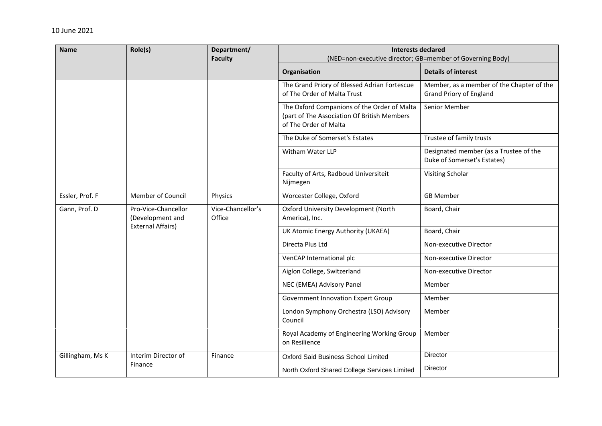| <b>Name</b>      | Role(s)                                                             | Department/<br><b>Faculty</b> | <b>Interests declared</b><br>(NED=non-executive director; GB=member of Governing Body)                              |                                                                             |
|------------------|---------------------------------------------------------------------|-------------------------------|---------------------------------------------------------------------------------------------------------------------|-----------------------------------------------------------------------------|
|                  |                                                                     |                               | Organisation                                                                                                        | <b>Details of interest</b>                                                  |
|                  |                                                                     |                               | The Grand Priory of Blessed Adrian Fortescue<br>of The Order of Malta Trust                                         | Member, as a member of the Chapter of the<br><b>Grand Priory of England</b> |
|                  |                                                                     |                               | The Oxford Companions of the Order of Malta<br>(part of The Association Of British Members<br>of The Order of Malta | Senior Member                                                               |
|                  |                                                                     |                               | The Duke of Somerset's Estates                                                                                      | Trustee of family trusts                                                    |
|                  |                                                                     |                               | Witham Water LLP                                                                                                    | Designated member (as a Trustee of the<br>Duke of Somerset's Estates)       |
|                  |                                                                     |                               | Faculty of Arts, Radboud Universiteit<br>Nijmegen                                                                   | Visiting Scholar                                                            |
| Essler, Prof. F  | Member of Council                                                   | Physics                       | Worcester College, Oxford                                                                                           | <b>GB Member</b>                                                            |
| Gann, Prof. D    | Pro-Vice-Chancellor<br>(Development and<br><b>External Affairs)</b> | Vice-Chancellor's<br>Office   | Oxford University Development (North<br>America), Inc.                                                              | Board, Chair                                                                |
|                  |                                                                     |                               | UK Atomic Energy Authority (UKAEA)                                                                                  | Board, Chair                                                                |
|                  |                                                                     |                               | Directa Plus Ltd                                                                                                    | Non-executive Director                                                      |
|                  |                                                                     |                               | VenCAP International plc                                                                                            | Non-executive Director                                                      |
|                  |                                                                     |                               | Aiglon College, Switzerland                                                                                         | Non-executive Director                                                      |
|                  |                                                                     |                               | NEC (EMEA) Advisory Panel                                                                                           | Member                                                                      |
|                  |                                                                     |                               | Government Innovation Expert Group                                                                                  | Member                                                                      |
|                  |                                                                     |                               | London Symphony Orchestra (LSO) Advisory<br>Council                                                                 | Member                                                                      |
|                  |                                                                     |                               | Royal Academy of Engineering Working Group<br>on Resilience                                                         | Member                                                                      |
| Gillingham, Ms K | Interim Director of                                                 | Finance                       | Oxford Said Business School Limited                                                                                 | Director                                                                    |
|                  | Finance                                                             |                               | North Oxford Shared College Services Limited                                                                        | Director                                                                    |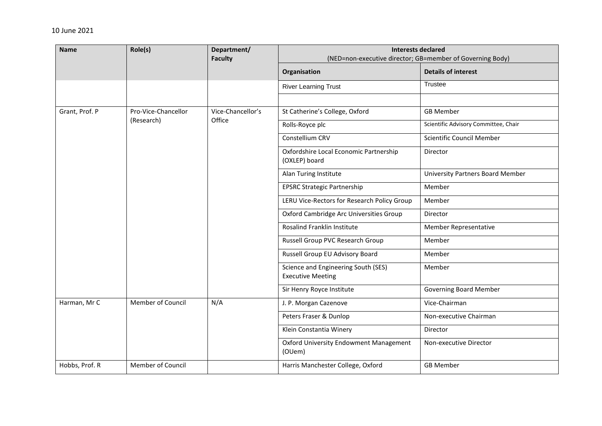| <b>Name</b>    | Role(s)             | Department/<br><b>Faculty</b> | <b>Interests declared</b><br>(NED=non-executive director; GB=member of Governing Body) |                                         |  |
|----------------|---------------------|-------------------------------|----------------------------------------------------------------------------------------|-----------------------------------------|--|
|                |                     |                               | Organisation                                                                           | <b>Details of interest</b>              |  |
|                |                     |                               | <b>River Learning Trust</b>                                                            | <b>Trustee</b>                          |  |
|                |                     |                               |                                                                                        |                                         |  |
| Grant, Prof. P | Pro-Vice-Chancellor | Vice-Chancellor's             | St Catherine's College, Oxford                                                         | <b>GB Member</b>                        |  |
|                | (Research)          | Office                        | Rolls-Royce plc                                                                        | Scientific Advisory Committee, Chair    |  |
|                |                     |                               | Constellium CRV                                                                        | Scientific Council Member               |  |
|                |                     |                               | Oxfordshire Local Economic Partnership<br>(OXLEP) board                                | Director                                |  |
|                |                     |                               | Alan Turing Institute                                                                  | <b>University Partners Board Member</b> |  |
|                |                     |                               | <b>EPSRC Strategic Partnership</b>                                                     | Member                                  |  |
|                |                     |                               | LERU Vice-Rectors for Research Policy Group                                            | Member                                  |  |
|                |                     |                               | Oxford Cambridge Arc Universities Group                                                | Director                                |  |
|                |                     |                               | Rosalind Franklin Institute                                                            | Member Representative                   |  |
|                |                     |                               | Russell Group PVC Research Group                                                       | Member                                  |  |
|                |                     |                               | Russell Group EU Advisory Board                                                        | Member                                  |  |
|                |                     |                               | Science and Engineering South (SES)<br><b>Executive Meeting</b>                        | Member                                  |  |
|                |                     |                               | Sir Henry Royce Institute                                                              | <b>Governing Board Member</b>           |  |
| Harman, Mr C   | Member of Council   | N/A                           | J. P. Morgan Cazenove                                                                  | Vice-Chairman                           |  |
|                |                     |                               | Peters Fraser & Dunlop                                                                 | Non-executive Chairman                  |  |
|                |                     |                               | Klein Constantia Winery                                                                | Director                                |  |
|                |                     |                               | <b>Oxford University Endowment Management</b><br>(OUem)                                | Non-executive Director                  |  |
| Hobbs, Prof. R | Member of Council   |                               | Harris Manchester College, Oxford                                                      | <b>GB Member</b>                        |  |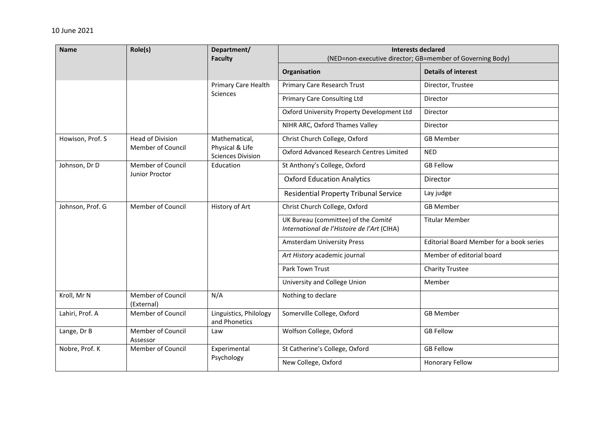| <b>Name</b>      | Role(s)                         | Department/<br><b>Faculty</b>               | <b>Interests declared</b><br>(NED=non-executive director; GB=member of Governing Body) |                                          |
|------------------|---------------------------------|---------------------------------------------|----------------------------------------------------------------------------------------|------------------------------------------|
|                  |                                 |                                             | Organisation                                                                           | <b>Details of interest</b>               |
|                  |                                 | <b>Primary Care Health</b>                  | Primary Care Research Trust                                                            | Director, Trustee                        |
|                  |                                 | Sciences                                    | <b>Primary Care Consulting Ltd</b>                                                     | Director                                 |
|                  |                                 |                                             | Oxford University Property Development Ltd                                             | Director                                 |
|                  |                                 |                                             | NIHR ARC, Oxford Thames Valley                                                         | Director                                 |
| Howison, Prof. S | <b>Head of Division</b>         | Mathematical,                               | Christ Church College, Oxford                                                          | <b>GB Member</b>                         |
|                  | Member of Council               | Physical & Life<br><b>Sciences Division</b> | Oxford Advanced Research Centres Limited                                               | <b>NED</b>                               |
| Johnson, Dr D    | <b>Member of Council</b>        | Education                                   | St Anthony's College, Oxford                                                           | <b>GB Fellow</b>                         |
|                  | Junior Proctor                  |                                             | <b>Oxford Education Analytics</b>                                                      | Director                                 |
|                  |                                 |                                             | <b>Residential Property Tribunal Service</b>                                           | Lay judge                                |
| Johnson, Prof. G | Member of Council               | History of Art                              | Christ Church College, Oxford                                                          | <b>GB Member</b>                         |
|                  |                                 |                                             | UK Bureau (committee) of the Comité<br>International de l'Histoire de l'Art (CIHA)     | <b>Titular Member</b>                    |
|                  |                                 |                                             | <b>Amsterdam University Press</b>                                                      | Editorial Board Member for a book series |
|                  |                                 |                                             | Art History academic journal                                                           | Member of editorial board                |
|                  |                                 |                                             | Park Town Trust                                                                        | <b>Charity Trustee</b>                   |
|                  |                                 |                                             | University and College Union                                                           | Member                                   |
| Kroll, Mr N      | Member of Council<br>(External) | N/A                                         | Nothing to declare                                                                     |                                          |
| Lahiri, Prof. A  | Member of Council               | Linguistics, Philology<br>and Phonetics     | Somerville College, Oxford                                                             | <b>GB Member</b>                         |
| Lange, Dr B      | Member of Council<br>Assessor   | Law                                         | Wolfson College, Oxford                                                                | <b>GB Fellow</b>                         |
| Nobre, Prof. K   | Member of Council               | Experimental<br>Psychology                  | St Catherine's College, Oxford                                                         | <b>GB Fellow</b>                         |
|                  |                                 |                                             | New College, Oxford                                                                    | <b>Honorary Fellow</b>                   |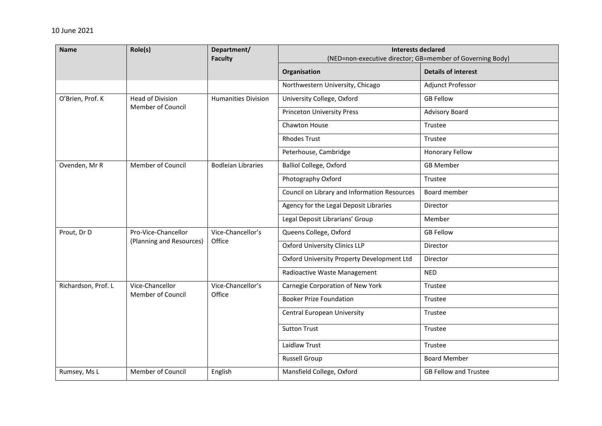| <b>Name</b>         | Role(s)                              | Department/<br><b>Faculty</b> | <b>Interests declared</b><br>(NED=non-executive director; GB=member of Governing Body) |                              |
|---------------------|--------------------------------------|-------------------------------|----------------------------------------------------------------------------------------|------------------------------|
|                     |                                      |                               | Organisation                                                                           | <b>Details of interest</b>   |
|                     |                                      |                               | Northwestern University, Chicago                                                       | Adjunct Professor            |
| O'Brien, Prof. K    | Head of Division                     | <b>Humanities Division</b>    | University College, Oxford                                                             | <b>GB Fellow</b>             |
|                     | Member of Council                    |                               | <b>Princeton University Press</b>                                                      | <b>Advisory Board</b>        |
|                     |                                      |                               | Chawton House                                                                          | Trustee                      |
|                     |                                      |                               | <b>Rhodes Trust</b>                                                                    | Trustee                      |
|                     |                                      |                               | Peterhouse, Cambridge                                                                  | <b>Honorary Fellow</b>       |
| Ovenden, Mr R       | Member of Council                    | <b>Bodleian Libraries</b>     | <b>Balliol College, Oxford</b>                                                         | <b>GB Member</b>             |
|                     |                                      |                               | Photography Oxford                                                                     | Trustee                      |
|                     |                                      |                               | Council on Library and Information Resources                                           | Board member                 |
|                     |                                      |                               | Agency for the Legal Deposit Libraries                                                 | Director                     |
|                     |                                      |                               | Legal Deposit Librarians' Group                                                        | Member                       |
| Prout, Dr D         | Pro-Vice-Chancellor                  | Vice-Chancellor's             | Queens College, Oxford                                                                 | <b>GB Fellow</b>             |
|                     | (Planning and Resources)             | Office                        | <b>Oxford University Clinics LLP</b>                                                   | Director                     |
|                     |                                      |                               | Oxford University Property Development Ltd                                             | Director                     |
|                     |                                      |                               | Radioactive Waste Management                                                           | <b>NED</b>                   |
| Richardson, Prof. L | Vice-Chancellor<br>Member of Council | Vice-Chancellor's<br>Office   | Carnegie Corporation of New York                                                       | Trustee                      |
|                     |                                      |                               | <b>Booker Prize Foundation</b>                                                         | Trustee                      |
|                     |                                      |                               | Central European University                                                            | Trustee                      |
|                     |                                      |                               | <b>Sutton Trust</b>                                                                    | Trustee                      |
|                     |                                      |                               | Laidlaw Trust                                                                          | Trustee                      |
|                     |                                      |                               | <b>Russell Group</b>                                                                   | <b>Board Member</b>          |
| Rumsey, Ms L        | Member of Council                    | English                       | Mansfield College, Oxford                                                              | <b>GB Fellow and Trustee</b> |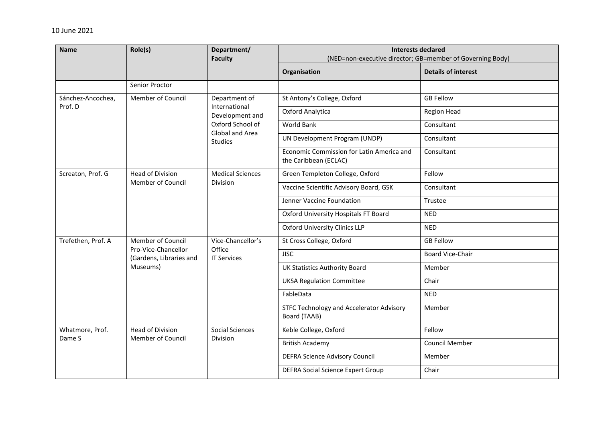| <b>Name</b>               | Role(s)                                                                         | Department/<br><b>Faculty</b>                                                                       | <b>Interests declared</b><br>(NED=non-executive director; GB=member of Governing Body) |                            |  |
|---------------------------|---------------------------------------------------------------------------------|-----------------------------------------------------------------------------------------------------|----------------------------------------------------------------------------------------|----------------------------|--|
|                           |                                                                                 |                                                                                                     | Organisation                                                                           | <b>Details of interest</b> |  |
|                           | Senior Proctor                                                                  |                                                                                                     |                                                                                        |                            |  |
| Sánchez-Ancochea,         | Member of Council                                                               | Department of<br>International<br>Development and<br>Oxford School of<br>Global and Area<br>Studies | St Antony's College, Oxford                                                            | <b>GB Fellow</b>           |  |
| Prof. D                   |                                                                                 |                                                                                                     | Oxford Analytica                                                                       | Region Head                |  |
|                           |                                                                                 |                                                                                                     | <b>World Bank</b>                                                                      | Consultant                 |  |
|                           |                                                                                 |                                                                                                     | UN Development Program (UNDP)                                                          | Consultant                 |  |
|                           |                                                                                 |                                                                                                     | Economic Commission for Latin America and<br>the Caribbean (ECLAC)                     | Consultant                 |  |
| Screaton, Prof. G         | <b>Head of Division</b><br>Member of Council                                    | <b>Medical Sciences</b><br><b>Division</b>                                                          | Green Templeton College, Oxford                                                        | Fellow                     |  |
|                           |                                                                                 |                                                                                                     | Vaccine Scientific Advisory Board, GSK                                                 | Consultant                 |  |
|                           |                                                                                 |                                                                                                     | Jenner Vaccine Foundation                                                              | Trustee                    |  |
|                           |                                                                                 |                                                                                                     | Oxford University Hospitals FT Board                                                   | <b>NED</b>                 |  |
|                           |                                                                                 |                                                                                                     | <b>Oxford University Clinics LLP</b>                                                   | <b>NED</b>                 |  |
| Trefethen, Prof. A        | Member of Council<br>Pro-Vice-Chancellor<br>(Gardens, Libraries and<br>Museums) | Vice-Chancellor's<br>Office<br><b>IT Services</b>                                                   | St Cross College, Oxford                                                               | <b>GB Fellow</b>           |  |
|                           |                                                                                 |                                                                                                     | <b>JISC</b>                                                                            | Board Vice-Chair           |  |
|                           |                                                                                 |                                                                                                     | <b>UK Statistics Authority Board</b>                                                   | Member                     |  |
|                           |                                                                                 |                                                                                                     | <b>UKSA Regulation Committee</b>                                                       | Chair                      |  |
|                           |                                                                                 |                                                                                                     | FableData                                                                              | <b>NED</b>                 |  |
|                           |                                                                                 |                                                                                                     | STFC Technology and Accelerator Advisory<br>Board (TAAB)                               | Member                     |  |
| Whatmore, Prof.<br>Dame S | <b>Head of Division</b><br>Member of Council                                    | <b>Social Sciences</b><br>Division                                                                  | Keble College, Oxford                                                                  | Fellow                     |  |
|                           |                                                                                 |                                                                                                     | <b>British Academy</b>                                                                 | Council Member             |  |
|                           |                                                                                 |                                                                                                     | <b>DEFRA Science Advisory Council</b>                                                  | Member                     |  |
|                           |                                                                                 |                                                                                                     | <b>DEFRA Social Science Expert Group</b>                                               | Chair                      |  |